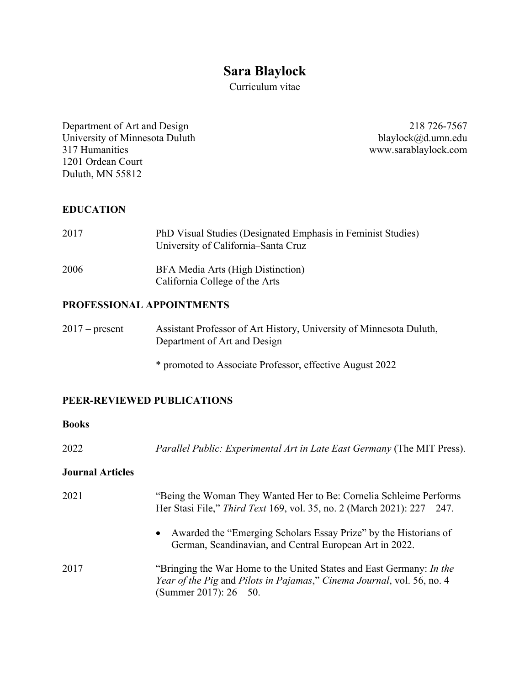# **Sara Blaylock**

Curriculum vitae

Department of Art and Design 218 726-7567 University of Minnesota Duluth blaylock@d.umn.edu<br>317 Humanities www.sarablaylock.com 1201 Ordean Court Duluth, MN 55812

www.sarablaylock.com

### **EDUCATION**

| 2017 | PhD Visual Studies (Designated Emphasis in Feminist Studies)<br>University of California–Santa Cruz |
|------|-----------------------------------------------------------------------------------------------------|
| 2006 | BFA Media Arts (High Distinction)<br>California College of the Arts                                 |

### **PROFESSIONAL APPOINTMENTS**

| $2017$ – present | Assistant Professor of Art History, University of Minnesota Duluth, |
|------------------|---------------------------------------------------------------------|
|                  | Department of Art and Design                                        |

\* promoted to Associate Professor, effective August 2022

### **PEER-REVIEWED PUBLICATIONS**

### **Books**

2022 *Parallel Public: Experimental Art in Late East Germany* (The MIT Press).

#### **Journal Articles**

| 2021 | "Being the Woman They Wanted Her to Be: Cornelia Schleime Performs<br>Her Stasi File," Third Text 169, vol. 35, no. 2 (March 2021): 227 – 247.                               |
|------|------------------------------------------------------------------------------------------------------------------------------------------------------------------------------|
|      | • Awarded the "Emerging Scholars Essay Prize" by the Historians of<br>German, Scandinavian, and Central European Art in 2022.                                                |
| 2017 | "Bringing the War Home to the United States and East Germany: In the<br>Year of the Pig and Pilots in Pajamas," Cinema Journal, vol. 56, no. 4<br>(Summer 2017): $26 - 50$ . |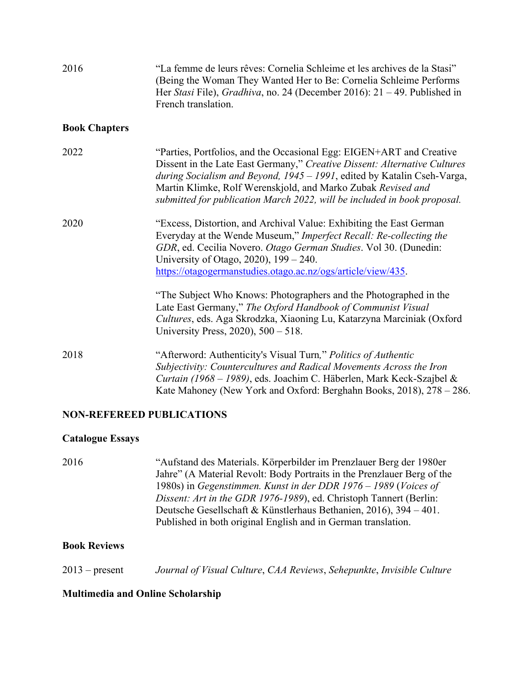| 2016                             | "La femme de leurs rêves: Cornelia Schleime et les archives de la Stasi"<br>(Being the Woman They Wanted Her to Be: Cornelia Schleime Performs<br>Her Stasi File), Gradhiva, no. 24 (December 2016): $21 - 49$ . Published in<br>French translation.                                                                                                                     |
|----------------------------------|--------------------------------------------------------------------------------------------------------------------------------------------------------------------------------------------------------------------------------------------------------------------------------------------------------------------------------------------------------------------------|
| <b>Book Chapters</b>             |                                                                                                                                                                                                                                                                                                                                                                          |
| 2022                             | "Parties, Portfolios, and the Occasional Egg: EIGEN+ART and Creative<br>Dissent in the Late East Germany," Creative Dissent: Alternative Cultures<br>during Socialism and Beyond, 1945 - 1991, edited by Katalin Cseh-Varga,<br>Martin Klimke, Rolf Werenskjold, and Marko Zubak Revised and<br>submitted for publication March 2022, will be included in book proposal. |
| 2020                             | "Excess, Distortion, and Archival Value: Exhibiting the East German<br>Everyday at the Wende Museum," Imperfect Recall: Re-collecting the<br>GDR, ed. Cecilia Novero. Otago German Studies. Vol 30. (Dunedin:<br>University of Otago, 2020), $199 - 240$ .<br>https://otagogermanstudies.otago.ac.nz/ogs/article/view/435.                                               |
|                                  | "The Subject Who Knows: Photographers and the Photographed in the<br>Late East Germany," The Oxford Handbook of Communist Visual<br>Cultures, eds. Aga Skrodzka, Xiaoning Lu, Katarzyna Marciniak (Oxford<br>University Press, 2020), 500 - 518.                                                                                                                         |
| 2018                             | "Afterword: Authenticity's Visual Turn," Politics of Authentic<br>Subjectivity: Countercultures and Radical Movements Across the Iron<br>Curtain (1968 – 1989), eds. Joachim C. Häberlen, Mark Keck-Szajbel &<br>Kate Mahoney (New York and Oxford: Berghahn Books, 2018), 278 - 286.                                                                                    |
| <b>NON-REFEREED PUBLICATIONS</b> |                                                                                                                                                                                                                                                                                                                                                                          |

### **Catalogue Essays**

| 2016 | "Aufstand des Materials. Körperbilder im Prenzlauer Berg der 1980er     |
|------|-------------------------------------------------------------------------|
|      | Jahre" (A Material Revolt: Body Portraits in the Prenzlauer Berg of the |
|      | 1980s) in Gegenstimmen. Kunst in der DDR 1976 – 1989 (Voices of         |
|      | Dissent: Art in the GDR 1976-1989), ed. Christoph Tannert (Berlin:      |
|      | Deutsche Gesellschaft & Künstlerhaus Bethanien, 2016), $394 - 401$ .    |
|      | Published in both original English and in German translation.           |
|      |                                                                         |

# **Book Reviews**

2013 – present *Journal of Visual Culture*, *CAA Reviews*, *Sehepunkte*, *Invisible Culture*

# **Multimedia and Online Scholarship**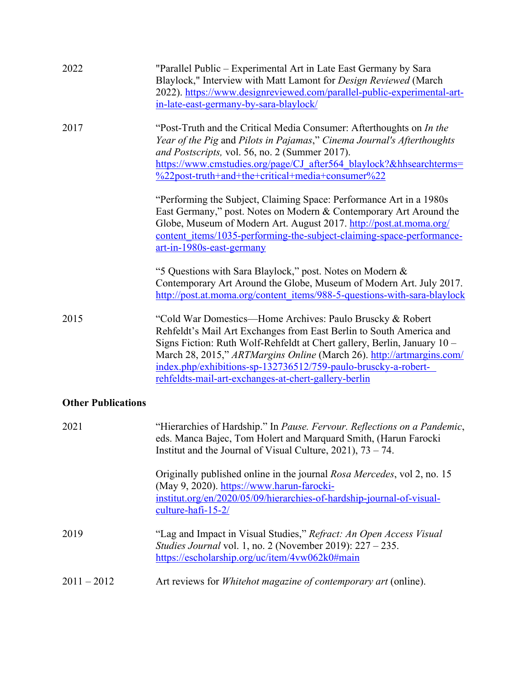| 2022                      | "Parallel Public – Experimental Art in Late East Germany by Sara<br>Blaylock," Interview with Matt Lamont for Design Reviewed (March<br>2022). https://www.designreviewed.com/parallel-public-experimental-art-<br>in-late-east-germany-by-sara-blaylock/                                                                                                                                                       |
|---------------------------|-----------------------------------------------------------------------------------------------------------------------------------------------------------------------------------------------------------------------------------------------------------------------------------------------------------------------------------------------------------------------------------------------------------------|
| 2017                      | "Post-Truth and the Critical Media Consumer: Afterthoughts on In the<br>Year of the Pig and Pilots in Pajamas," Cinema Journal's Afterthoughts<br>and Postscripts, vol. 56, no. 2 (Summer 2017).<br>https://www.cmstudies.org/page/CJ_after564_blaylock?&hhsearchterms=<br>%22post-truth+and+the+critical+media+consumer%22                                                                                     |
|                           | "Performing the Subject, Claiming Space: Performance Art in a 1980s<br>East Germany," post. Notes on Modern & Contemporary Art Around the<br>Globe, Museum of Modern Art. August 2017. http://post.at.moma.org/<br>content items/1035-performing-the-subject-claiming-space-performance-<br>$art-in-1980s - east-germany$                                                                                       |
|                           | "5 Questions with Sara Blaylock," post. Notes on Modern &<br>Contemporary Art Around the Globe, Museum of Modern Art. July 2017.<br>http://post.at.moma.org/content_items/988-5-questions-with-sara-blaylock                                                                                                                                                                                                    |
| 2015                      | "Cold War Domestics—Home Archives: Paulo Bruscky & Robert<br>Rehfeldt's Mail Art Exchanges from East Berlin to South America and<br>Signs Fiction: Ruth Wolf-Rehfeldt at Chert gallery, Berlin, January 10 -<br>March 28, 2015," ARTMargins Online (March 26). http://artmargins.com/<br>index.php/exhibitions-sp-132736512/759-paulo-bruscky-a-robert-<br>rehfeldts-mail-art-exchanges-at-chert-gallery-berlin |
| <b>Other Publications</b> |                                                                                                                                                                                                                                                                                                                                                                                                                 |
| 2021                      | "Hierarchies of Hardship." In Pause. Fervour. Reflections on a Pandemic,<br>eds. Manca Bajec, Tom Holert and Marquard Smith, (Harun Farocki<br>Institut and the Journal of Visual Culture, $2021$ , $73 - 74$ .                                                                                                                                                                                                 |
|                           | Originally published online in the journal Rosa Mercedes, vol 2, no. 15<br>(May 9, 2020). https://www.harun-farocki-<br>institut.org/en/2020/05/09/hierarchies-of-hardship-journal-of-visual-<br>culture-hafi-15-2/                                                                                                                                                                                             |
| 2019                      | "Lag and Impact in Visual Studies," Refract: An Open Access Visual<br>Studies Journal vol. 1, no. 2 (November 2019): 227 - 235.<br>https://escholarship.org/uc/item/4vw062k0#main                                                                                                                                                                                                                               |
| $2011 - 2012$             | Art reviews for <i>Whitehot magazine of contemporary art</i> (online).                                                                                                                                                                                                                                                                                                                                          |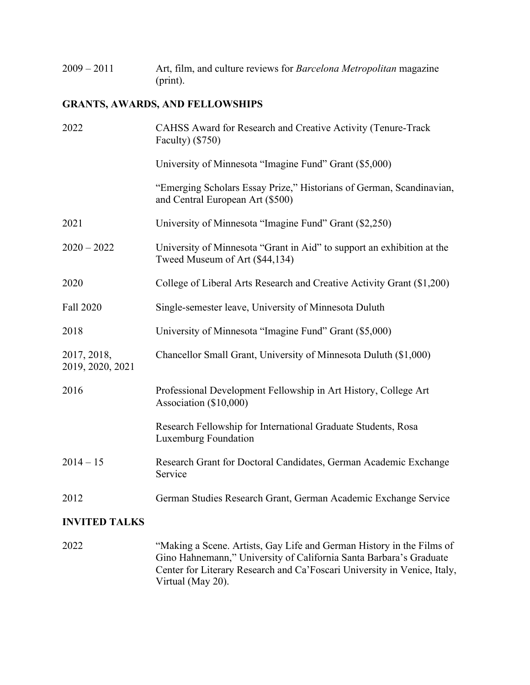2009 – 2011 Art, film, and culture reviews for *Barcelona Metropolitan* magazine (print).

### **GRANTS, AWARDS, AND FELLOWSHIPS**

| 2022                            | CAHSS Award for Research and Creative Activity (Tenure-Track<br>Faculty) $(\$750)$                       |
|---------------------------------|----------------------------------------------------------------------------------------------------------|
|                                 | University of Minnesota "Imagine Fund" Grant (\$5,000)                                                   |
|                                 | "Emerging Scholars Essay Prize," Historians of German, Scandinavian,<br>and Central European Art (\$500) |
| 2021                            | University of Minnesota "Imagine Fund" Grant (\$2,250)                                                   |
| $2020 - 2022$                   | University of Minnesota "Grant in Aid" to support an exhibition at the<br>Tweed Museum of Art (\$44,134) |
| 2020                            | College of Liberal Arts Research and Creative Activity Grant (\$1,200)                                   |
| Fall 2020                       | Single-semester leave, University of Minnesota Duluth                                                    |
| 2018                            | University of Minnesota "Imagine Fund" Grant (\$5,000)                                                   |
| 2017, 2018,<br>2019, 2020, 2021 | Chancellor Small Grant, University of Minnesota Duluth (\$1,000)                                         |
| 2016                            | Professional Development Fellowship in Art History, College Art<br>Association (\$10,000)                |
|                                 | Research Fellowship for International Graduate Students, Rosa<br>Luxemburg Foundation                    |
| $2014 - 15$                     | Research Grant for Doctoral Candidates, German Academic Exchange<br>Service                              |
| 2012                            | German Studies Research Grant, German Academic Exchange Service                                          |
| <b>INVITED TALKS</b>            |                                                                                                          |

2022 "Making a Scene. Artists, Gay Life and German History in the Films of Gino Hahnemann," University of California Santa Barbara's Graduate Center for Literary Research and Ca'Foscari University in Venice, Italy, Virtual (May 20).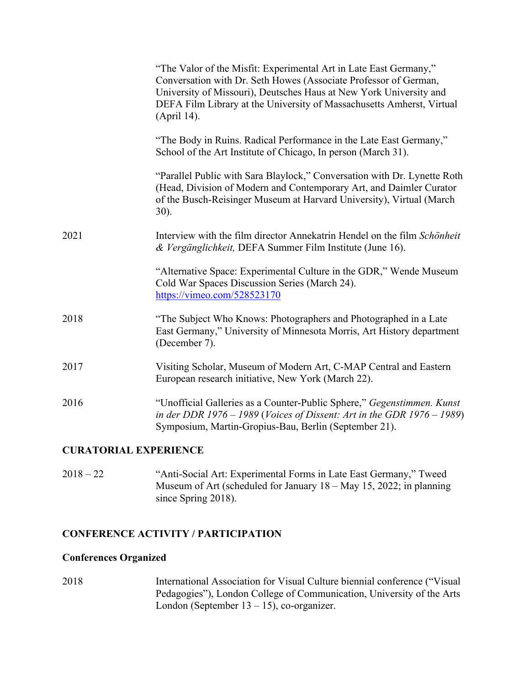|      | "The Valor of the Misfit: Experimental Art in Late East Germany,"<br>Conversation with Dr. Seth Howes (Associate Professor of German,<br>University of Missouri), Deutsches Haus at New York University and<br>DEFA Film Library at the University of Massachusetts Amherst, Virtual<br>(April 14). |
|------|-----------------------------------------------------------------------------------------------------------------------------------------------------------------------------------------------------------------------------------------------------------------------------------------------------|
|      | "The Body in Ruins. Radical Performance in the Late East Germany,"<br>School of the Art Institute of Chicago, In person (March 31).                                                                                                                                                                 |
|      | "Parallel Public with Sara Blaylock," Conversation with Dr. Lynette Roth<br>(Head, Division of Modern and Contemporary Art, and Daimler Curator<br>of the Busch-Reisinger Museum at Harvard University), Virtual (March<br>$30$ ).                                                                  |
| 2021 | Interview with the film director Annekatrin Hendel on the film Schönheit<br>& Vergänglichkeit, DEFA Summer Film Institute (June 16).                                                                                                                                                                |
|      | "Alternative Space: Experimental Culture in the GDR," Wende Museum<br>Cold War Spaces Discussion Series (March 24).<br>https://vimeo.com/528523170                                                                                                                                                  |
| 2018 | "The Subject Who Knows: Photographers and Photographed in a Late<br>East Germany," University of Minnesota Morris, Art History department<br>(December 7).                                                                                                                                          |
| 2017 | Visiting Scholar, Museum of Modern Art, C-MAP Central and Eastern<br>European research initiative, New York (March 22).                                                                                                                                                                             |
| 2016 | "Unofficial Galleries as a Counter-Public Sphere," Gegenstimmen. Kunst<br>in der DDR 1976 - 1989 (Voices of Dissent: Art in the GDR 1976 - 1989)<br>Symposium, Martin-Gropius-Bau, Berlin (September 21).                                                                                           |
|      |                                                                                                                                                                                                                                                                                                     |

### **CURATORIAL EXPERIENCE**

2018 – 22 "Anti-Social Art: Experimental Forms in Late East Germany," Tweed Museum of Art (scheduled for January 18 – May 15, 2022; in planning since Spring 2018).

### **CONFERENCE ACTIVITY / PARTICIPATION**

## **Conferences Organized**

2018 International Association for Visual Culture biennial conference ("Visual Pedagogies"), London College of Communication, University of the Arts London (September  $13 - 15$ ), co-organizer.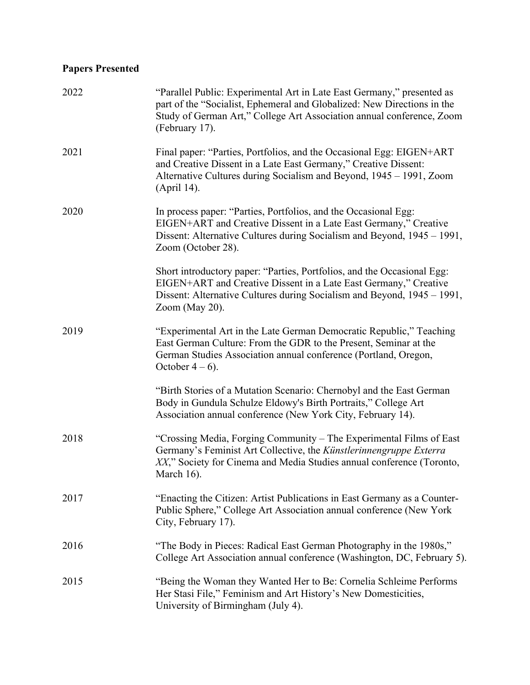# **Papers Presented**

| 2022 | "Parallel Public: Experimental Art in Late East Germany," presented as<br>part of the "Socialist, Ephemeral and Globalized: New Directions in the<br>Study of German Art," College Art Association annual conference, Zoom<br>(February 17). |
|------|----------------------------------------------------------------------------------------------------------------------------------------------------------------------------------------------------------------------------------------------|
| 2021 | Final paper: "Parties, Portfolios, and the Occasional Egg: EIGEN+ART<br>and Creative Dissent in a Late East Germany," Creative Dissent:<br>Alternative Cultures during Socialism and Beyond, 1945 – 1991, Zoom<br>(April 14).                |
| 2020 | In process paper: "Parties, Portfolios, and the Occasional Egg:<br>EIGEN+ART and Creative Dissent in a Late East Germany," Creative<br>Dissent: Alternative Cultures during Socialism and Beyond, 1945 – 1991,<br>Zoom (October 28).         |
|      | Short introductory paper: "Parties, Portfolios, and the Occasional Egg:<br>EIGEN+ART and Creative Dissent in a Late East Germany," Creative<br>Dissent: Alternative Cultures during Socialism and Beyond, 1945 – 1991,<br>Zoom (May 20).     |
| 2019 | "Experimental Art in the Late German Democratic Republic," Teaching<br>East German Culture: From the GDR to the Present, Seminar at the<br>German Studies Association annual conference (Portland, Oregon,<br>October $4-6$ ).               |
|      | "Birth Stories of a Mutation Scenario: Chernobyl and the East German<br>Body in Gundula Schulze Eldowy's Birth Portraits," College Art<br>Association annual conference (New York City, February 14).                                        |
| 2018 | "Crossing Media, Forging Community – The Experimental Films of East<br>Germany's Feminist Art Collective, the Künstlerinnengruppe Exterra<br>XX," Society for Cinema and Media Studies annual conference (Toronto,<br>March 16).             |
| 2017 | "Enacting the Citizen: Artist Publications in East Germany as a Counter-<br>Public Sphere," College Art Association annual conference (New York<br>City, February 17).                                                                       |
| 2016 | "The Body in Pieces: Radical East German Photography in the 1980s,"<br>College Art Association annual conference (Washington, DC, February 5).                                                                                               |
| 2015 | "Being the Woman they Wanted Her to Be: Cornelia Schleime Performs<br>Her Stasi File," Feminism and Art History's New Domesticities,<br>University of Birmingham (July 4).                                                                   |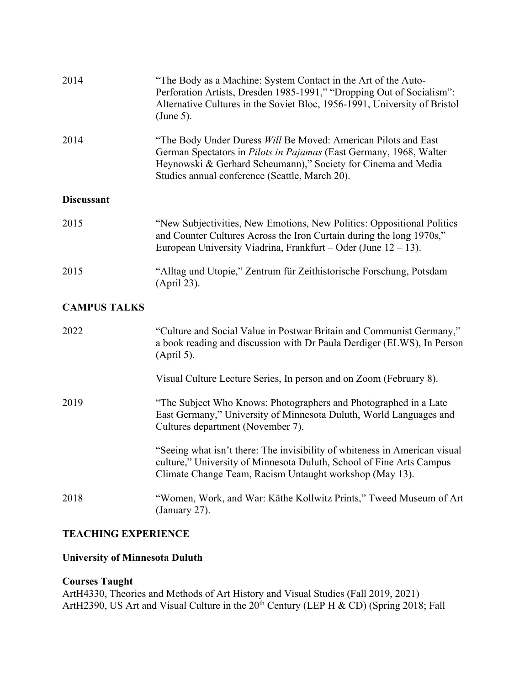| 2014                | "The Body as a Machine: System Contact in the Art of the Auto-<br>Perforation Artists, Dresden 1985-1991," "Dropping Out of Socialism":<br>Alternative Cultures in the Soviet Bloc, 1956-1991, University of Bristol<br>$(June 5)$ .                    |
|---------------------|---------------------------------------------------------------------------------------------------------------------------------------------------------------------------------------------------------------------------------------------------------|
| 2014                | "The Body Under Duress Will Be Moved: American Pilots and East<br>German Spectators in Pilots in Pajamas (East Germany, 1968, Walter<br>Heynowski & Gerhard Scheumann)," Society for Cinema and Media<br>Studies annual conference (Seattle, March 20). |
| <b>Discussant</b>   |                                                                                                                                                                                                                                                         |
| 2015                | "New Subjectivities, New Emotions, New Politics: Oppositional Politics<br>and Counter Cultures Across the Iron Curtain during the long 1970s,"<br>European University Viadrina, Frankfurt – Oder (June $12 - 13$ ).                                     |
| 2015                | "Alltag und Utopie," Zentrum für Zeithistorische Forschung, Potsdam<br>(April 23).                                                                                                                                                                      |
| <b>CAMPUS TALKS</b> |                                                                                                                                                                                                                                                         |
| 2022                | "Culture and Social Value in Postwar Britain and Communist Germany,"<br>a book reading and discussion with Dr Paula Derdiger (ELWS), In Person<br>$(Apri1 5)$ .                                                                                         |
|                     | Visual Culture Lecture Series, In person and on Zoom (February 8).                                                                                                                                                                                      |
| 2019                | "The Subject Who Knows: Photographers and Photographed in a Late<br>East Germany," University of Minnesota Duluth, World Languages and<br>Cultures department (November 7).                                                                             |

"Seeing what isn't there: The invisibility of whiteness in American visual culture," University of Minnesota Duluth, School of Fine Arts Campus Climate Change Team, Racism Untaught workshop (May 13).

2018 "Women, Work, and War: Käthe Kollwitz Prints," Tweed Museum of Art (January 27).

### **TEACHING EXPERIENCE**

#### **University of Minnesota Duluth**

#### **Courses Taught**

ArtH4330, Theories and Methods of Art History and Visual Studies (Fall 2019, 2021) ArtH2390, US Art and Visual Culture in the  $20^{th}$  Century (LEP H & CD) (Spring 2018; Fall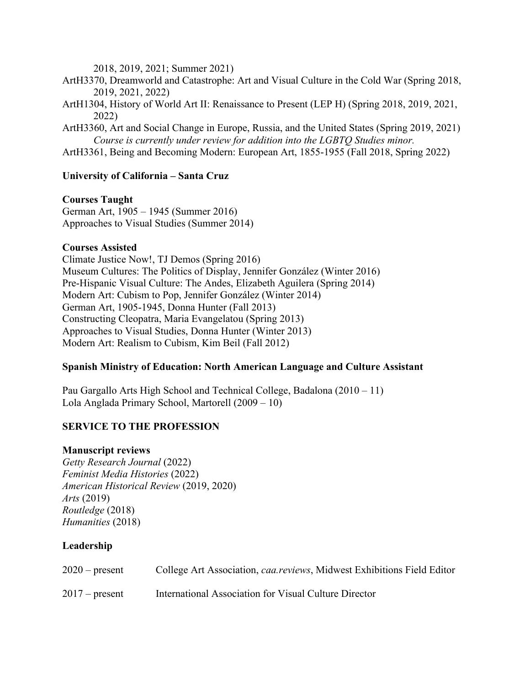2018, 2019, 2021; Summer 2021)

- ArtH3370, Dreamworld and Catastrophe: Art and Visual Culture in the Cold War (Spring 2018, 2019, 2021, 2022)
- ArtH1304, History of World Art II: Renaissance to Present (LEP H) (Spring 2018, 2019, 2021, 2022)
- ArtH3360, Art and Social Change in Europe, Russia, and the United States (Spring 2019, 2021) *Course is currently under review for addition into the LGBTQ Studies minor.*
- ArtH3361, Being and Becoming Modern: European Art, 1855-1955 (Fall 2018, Spring 2022)

### **University of California – Santa Cruz**

#### **Courses Taught**

German Art, 1905 – 1945 (Summer 2016) Approaches to Visual Studies (Summer 2014)

#### **Courses Assisted**

Climate Justice Now!, TJ Demos (Spring 2016) Museum Cultures: The Politics of Display, Jennifer González (Winter 2016) Pre-Hispanic Visual Culture: The Andes, Elizabeth Aguilera (Spring 2014) Modern Art: Cubism to Pop, Jennifer González (Winter 2014) German Art, 1905-1945, Donna Hunter (Fall 2013) Constructing Cleopatra, Maria Evangelatou (Spring 2013) Approaches to Visual Studies, Donna Hunter (Winter 2013) Modern Art: Realism to Cubism, Kim Beil (Fall 2012)

### **Spanish Ministry of Education: North American Language and Culture Assistant**

Pau Gargallo Arts High School and Technical College, Badalona (2010 – 11) Lola Anglada Primary School, Martorell (2009 – 10)

### **SERVICE TO THE PROFESSION**

#### **Manuscript reviews**

*Getty Research Journal* (2022) *Feminist Media Histories* (2022) *American Historical Review* (2019, 2020) *Arts* (2019) *Routledge* (2018) *Humanities* (2018)

### **Leadership**

| $2020$ – present | College Art Association, <i>caa.reviews</i> , Midwest Exhibitions Field Editor |
|------------------|--------------------------------------------------------------------------------|
| $2017$ – present | International Association for Visual Culture Director                          |